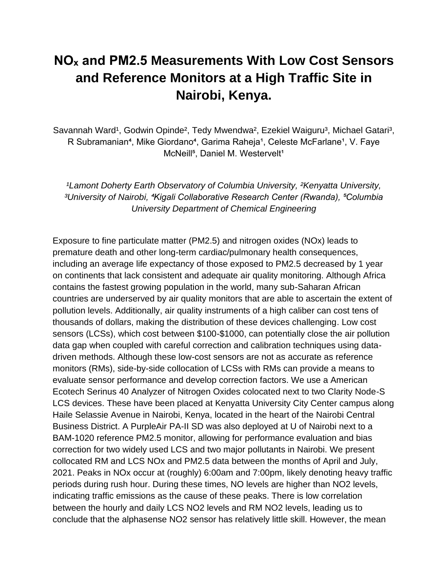## **NOₓ and PM2.5 Measurements With Low Cost Sensors and Reference Monitors at a High Traffic Site in Nairobi, Kenya.**

Savannah Ward<sup>1</sup>, Godwin Opinde<sup>2</sup>, Tedy Mwendwa<sup>2</sup>, Ezekiel Waiguru<sup>3</sup>, Michael Gatari<sup>3</sup>, R Subramanian<sup>4</sup>, Mike Giordano<sup>4</sup>, Garima Raheja<sup>1</sup>, Celeste McFarlane<sup>1</sup>, V. Faye McNeill<sup>5</sup>, Daniel M. Westervelt<sup>1</sup>

*¹Lamont Doherty Earth Observatory of Columbia University, ²Kenyatta University, ³University of Nairobi, ⁴Kigali Collaborative Research Center (Rwanda), ⁵Columbia University Department of Chemical Engineering*

Exposure to fine particulate matter (PM2.5) and nitrogen oxides (NOx) leads to premature death and other long-term cardiac/pulmonary health consequences, including an average life expectancy of those exposed to PM2.5 decreased by 1 year on continents that lack consistent and adequate air quality monitoring. Although Africa contains the fastest growing population in the world, many sub-Saharan African countries are underserved by air quality monitors that are able to ascertain the extent of pollution levels. Additionally, air quality instruments of a high caliber can cost tens of thousands of dollars, making the distribution of these devices challenging. Low cost sensors (LCSs), which cost between \$100-\$1000, can potentially close the air pollution data gap when coupled with careful correction and calibration techniques using datadriven methods. Although these low-cost sensors are not as accurate as reference monitors (RMs), side-by-side collocation of LCSs with RMs can provide a means to evaluate sensor performance and develop correction factors. We use a American Ecotech Serinus 40 Analyzer of Nitrogen Oxides colocated next to two Clarity Node-S LCS devices. These have been placed at Kenyatta University City Center campus along Haile Selassie Avenue in Nairobi, Kenya, located in the heart of the Nairobi Central Business District. A PurpleAir PA-II SD was also deployed at U of Nairobi next to a BAM-1020 reference PM2.5 monitor, allowing for performance evaluation and bias correction for two widely used LCS and two major pollutants in Nairobi. We present collocated RM and LCS NOx and PM2.5 data between the months of April and July, 2021. Peaks in NOx occur at (roughly) 6:00am and 7:00pm, likely denoting heavy traffic periods during rush hour. During these times, NO levels are higher than NO2 levels, indicating traffic emissions as the cause of these peaks. There is low correlation between the hourly and daily LCS NO2 levels and RM NO2 levels, leading us to conclude that the alphasense NO2 sensor has relatively little skill. However, the mean